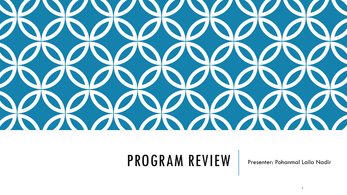

#### PROGRAM REVIEW | Presenter: Pohanmal Laila Nadir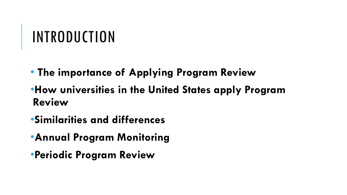#### INTRODUCTION

- **The importance of Applying Program Review**
- •**How universities in the United States apply Program Review**
- •**Similarities and differences**
- •**Annual Program Monitoring**
- •**Periodic Program Review**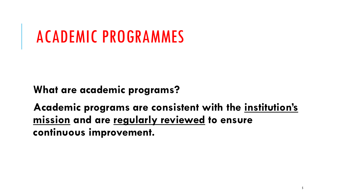### ACADEMIC PROGRAMMES

**What are academic programs?**

**Academic programs are consistent with the institution's mission and are regularly reviewed to ensure continuous improvement.**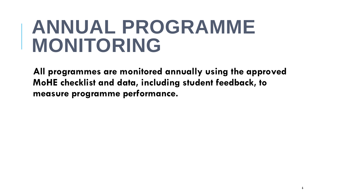### **ANNUAL PROGRAMME MONITORING**

**All programmes are monitored annually using the approved MoHE checklist and data, including student feedback, to measure programme performance.**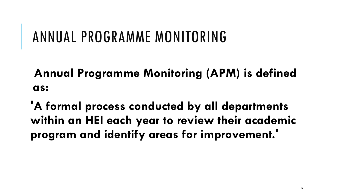#### ANNUAL PROGRAMME MONITORING

**Annual Programme Monitoring (APM) is defined as:**

**'A formal process conducted by all departments within an HEI each year to review their academic program and identify areas for improvement.'**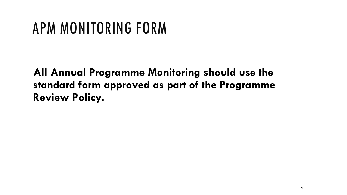#### APM MONITORING FORM

**All Annual Programme Monitoring should use the standard form approved as part of the Programme Review Policy.**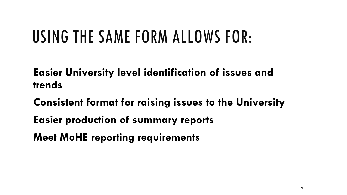## USING THE SAME FORM ALLOWS FOR:

**Easier University level identification of issues and trends** 

**Consistent format for raising issues to the University**

- **Easier production of summary reports**
- **Meet MoHE reporting requirements**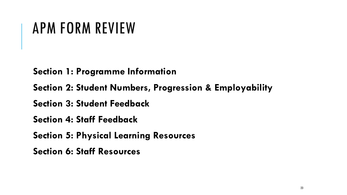#### APM FORM REVIEW

**Section 1: Programme Information**

**Section 2: Student Numbers, Progression & Employability**

**Section 3: Student Feedback**

**Section 4: Staff Feedback**

**Section 5: Physical Learning Resources**

**Section 6: Staff Resources**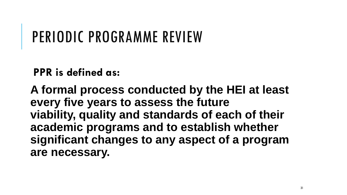#### PERIODIC PROGRAMME REVIEW

**PPR is defined as:**

**A formal process conducted by the HEI at least every five years to assess the future viability, quality and standards of each of their academic programs and to establish whether significant changes to any aspect of a program are necessary.**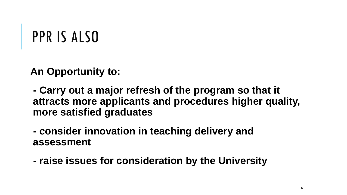#### PPR IS ALSO

**An Opportunity to:**

**- Carry out a major refresh of the program so that it attracts more applicants and procedures higher quality, more satisfied graduates**

**- consider innovation in teaching delivery and assessment**

**- raise issues for consideration by the University**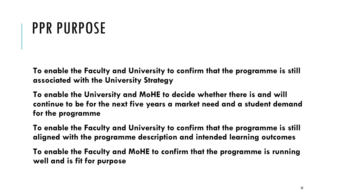#### PPR PURPOSE

**To enable the Faculty and University to confirm that the programme is still associated with the University Strategy**

**To enable the University and MoHE to decide whether there is and will continue to be for the next five years a market need and a student demand for the programme**

**To enable the Faculty and University to confirm that the programme is still aligned with the programme description and intended learning outcomes**

**To enable the Faculty and MoHE to confirm that the programme is running well and is fit for purpose**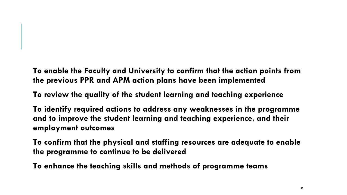**To enable the Faculty and University to confirm that the action points from the previous PPR and APM action plans have been implemented**

**To review the quality of the student learning and teaching experience**

**To identify required actions to address any weaknesses in the programme and to improve the student learning and teaching experience, and their employment outcomes**

**To confirm that the physical and staffing resources are adequate to enable the programme to continue to be delivered**

**To enhance the teaching skills and methods of programme teams**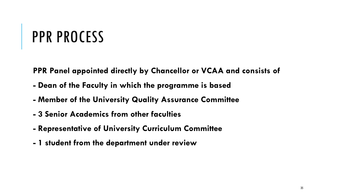#### PPR PROCESS

**PPR Panel appointed directly by Chancellor or VCAA and consists of**

- **- Dean of the Faculty in which the programme is based**
- **- Member of the University Quality Assurance Committee**
- **- 3 Senior Academics from other faculties**
- **- Representative of University Curriculum Committee**
- **- 1 student from the department under review**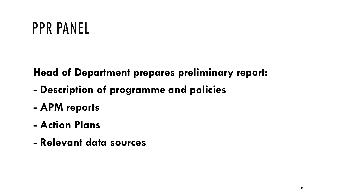#### PPR PANEL

**Head of Department prepares preliminary report:**

- **- Description of programme and policies**
- **- APM reports**
- **- Action Plans**
- **- Relevant data sources**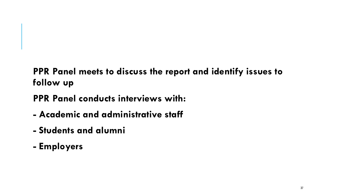#### **PPR Panel meets to discuss the report and identify issues to follow up**

**PPR Panel conducts interviews with:**

- **- Academic and administrative staff**
- **- Students and alumni**
- **- Employers**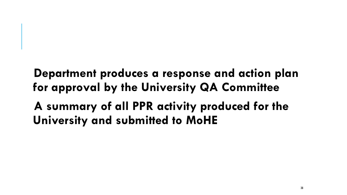**Department produces a response and action plan for approval by the University QA Committee**

**A summary of all PPR activity produced for the University and submitted to MoHE**